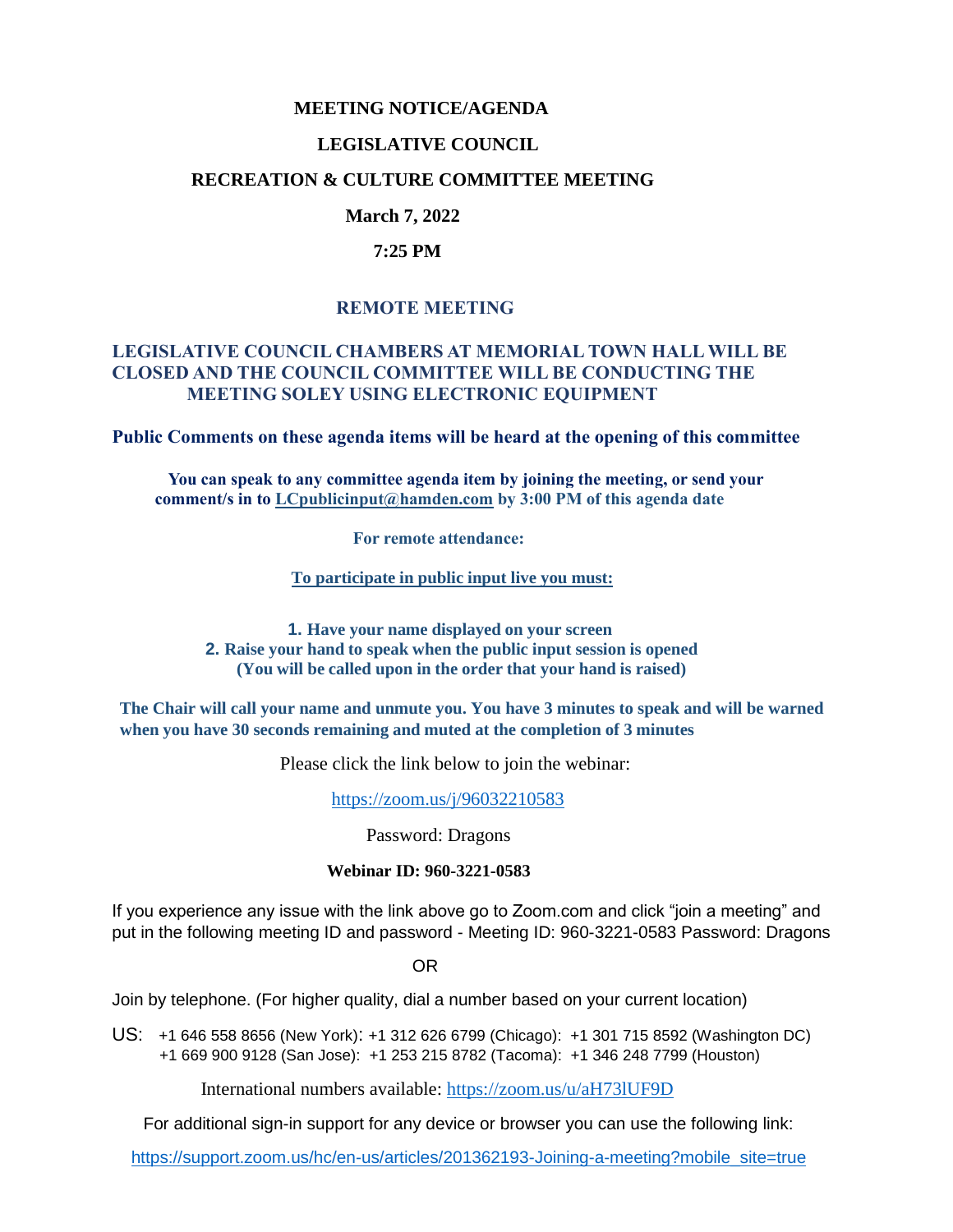## **MEETING NOTICE/AGENDA**

#### **LEGISLATIVE COUNCIL**

### **RECREATION & CULTURE COMMITTEE MEETING**

### **March 7, 2022**

#### **7:25 PM**

### **REMOTE MEETING**

### **LEGISLATIVE COUNCIL CHAMBERS AT MEMORIAL TOWN HALL WILL BE CLOSED AND THE COUNCIL COMMITTEE WILL BE CONDUCTING THE MEETING SOLEY USING ELECTRONIC EQUIPMENT**

**Public Comments on these agenda items will be heard at the opening of this committee** 

 **You can speak to any committee agenda item by joining the meeting, or send your comment/s in to [LCpublicinput@hamden.com](mailto:LCpublicinput@hamden.com) by 3:00 PM of this agenda date**

 **For remote attendance:**

**To participate in public input live you must:**

**1. Have your name displayed on your screen 2. Raise your hand to speak when the public input session is opened (You will be called upon in the order that your hand is raised)**

**The Chair will call your name and unmute you. You have 3 minutes to speak and will be warned when you have 30 seconds remaining and muted at the completion of 3 minutes**

Please click the link below to join the webinar:

<https://zoom.us/j/96032210583>

Password: Dragons

#### **Webinar ID: 960-3221-0583**

If you experience any issue with the link above go to Zoom.com and click "join a meeting" and put in the following meeting ID and password - Meeting ID: 960-3221-0583 Password: Dragons

OR

Join by telephone. (For higher quality, dial a number based on your current location)

US: [+1 646 558 8656 \(New York\)](tel:+16465588656): [+1 312 626 6799 \(Chicago\):](tel:+13126266799) [+1 301 715 8592 \(Washington DC\)](tel:+13017158592) +1 669 900 9128 (San Jose): [+1 253 215 8782 \(Tacoma\):](tel:+12532158782) [+1 346 248 7799 \(Houston\)](tel:+13462487799)

International numbers available:<https://zoom.us/u/aH73lUF9D>

For additional sign-in support for any device or browser you can use the following link:

[https://support.zoom.us/hc/en-us/articles/201362193-Joining-a-meeting?mobile\\_site=true](https://support.zoom.us/hc/en-us/articles/201362193-Joining-a-meeting?mobile_site=true)